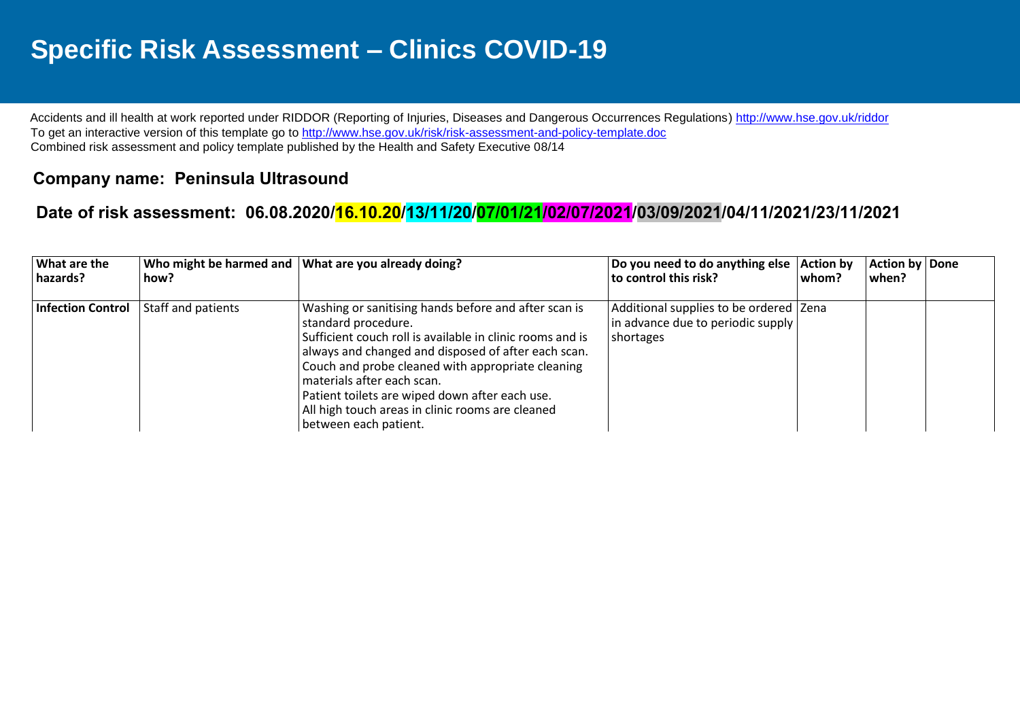## **Specific Risk Assessment – Clinics COVID-19**

Accidents and ill health at work reported under RIDDOR (Reporting of Injuries, Diseases and Dangerous Occurrences Regulations)<http://www.hse.gov.uk/riddor> To get an interactive version of this template go to<http://www.hse.gov.uk/risk/risk-assessment-and-policy-template.doc> Combined risk assessment and policy template published by the Health and Safety Executive 08/14

## **Company name: Peninsula Ultrasound**

## **Date of risk assessment: 06.08.2020/16.10.20/13/11/20/07/01/21/02/07/2021/03/09/2021/04/11/2021/23/11/2021**

| What are the<br>hazards? | how?               | Who might be harmed and What are you already doing?                                                                                                                                                                                                                                                                                                                                                               | Do you need to do anything else   Action by<br>to control this risk?                       | l whom? | Action by Done<br>when? |  |
|--------------------------|--------------------|-------------------------------------------------------------------------------------------------------------------------------------------------------------------------------------------------------------------------------------------------------------------------------------------------------------------------------------------------------------------------------------------------------------------|--------------------------------------------------------------------------------------------|---------|-------------------------|--|
| Infection Control        | Staff and patients | Washing or sanitising hands before and after scan is<br>standard procedure.<br>Sufficient couch roll is available in clinic rooms and is<br>always and changed and disposed of after each scan.<br>Couch and probe cleaned with appropriate cleaning<br>materials after each scan.<br>Patient toilets are wiped down after each use.<br>All high touch areas in clinic rooms are cleaned<br>between each patient. | Additional supplies to be ordered   Zena<br>in advance due to periodic supply<br>shortages |         |                         |  |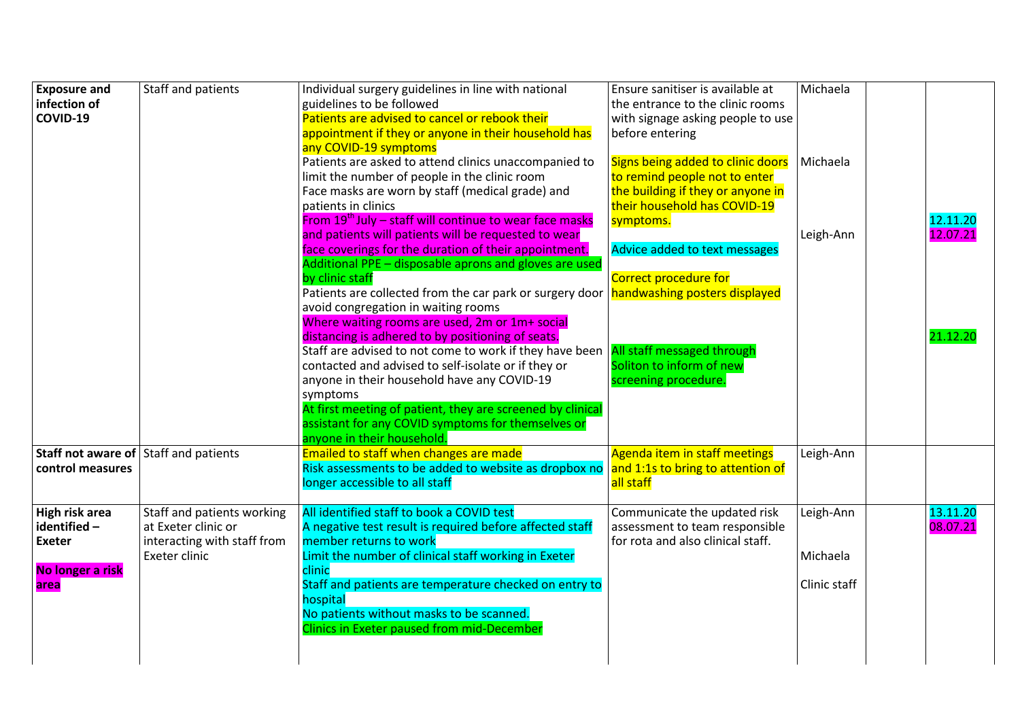| <b>Exposure and</b><br>infection of<br>COVID-19                            | Staff and patients                                                                                | Individual surgery guidelines in line with national<br>guidelines to be followed<br>Patients are advised to cancel or rebook their<br>appointment if they or anyone in their household has                                                                                                                                                                                                                                                                                                                                                                                                                                                                                                                                                                                                                                                                                     | Ensure sanitiser is available at<br>the entrance to the clinic rooms<br>with signage asking people to use<br>before entering                                                                                                                                                                     | Michaela                              |                                  |
|----------------------------------------------------------------------------|---------------------------------------------------------------------------------------------------|--------------------------------------------------------------------------------------------------------------------------------------------------------------------------------------------------------------------------------------------------------------------------------------------------------------------------------------------------------------------------------------------------------------------------------------------------------------------------------------------------------------------------------------------------------------------------------------------------------------------------------------------------------------------------------------------------------------------------------------------------------------------------------------------------------------------------------------------------------------------------------|--------------------------------------------------------------------------------------------------------------------------------------------------------------------------------------------------------------------------------------------------------------------------------------------------|---------------------------------------|----------------------------------|
|                                                                            |                                                                                                   | any COVID-19 symptoms<br>Patients are asked to attend clinics unaccompanied to<br>limit the number of people in the clinic room<br>Face masks are worn by staff (medical grade) and<br>patients in clinics<br>From $19th$ July – staff will continue to wear face masks<br>and patients will patients will be requested to wear<br>face coverings for the duration of their appointment.<br>Additional PPE - disposable aprons and gloves are used<br>by clinic staff<br>Patients are collected from the car park or surgery door nandwashing posters displayed<br>avoid congregation in waiting rooms<br>Where waiting rooms are used, 2m or 1m+ social<br>distancing is adhered to by positioning of seats.<br>Staff are advised to not come to work if they have been<br>contacted and advised to self-isolate or if they or<br>anyone in their household have any COVID-19 | Signs being added to clinic doors<br>to remind people not to enter<br>the building if they or anyone in<br>their household has COVID-19<br>symptoms.<br>Advice added to text messages<br>Correct procedure for<br>All staff messaged through<br>Soliton to inform of new<br>screening procedure. | Michaela<br>Leigh-Ann                 | 12.11.20<br>12.07.21<br>21.12.20 |
| control measures                                                           | Staff not aware of Staff and patients                                                             | symptoms<br>At first meeting of patient, they are screened by clinical<br>assistant for any COVID symptoms for themselves or<br>anyone in their household.<br>Emailed to staff when changes are made<br>Risk assessments to be added to website as dropbox no and 1:1s to bring to attention of<br>longer accessible to all staff                                                                                                                                                                                                                                                                                                                                                                                                                                                                                                                                              | Agenda item in staff meetings<br>all staff                                                                                                                                                                                                                                                       | Leigh-Ann                             |                                  |
| High risk area<br>identified-<br><b>Exeter</b><br>No longer a risk<br>area | Staff and patients working<br>at Exeter clinic or<br>interacting with staff from<br>Exeter clinic | All identified staff to book a COVID test<br>A negative test result is required before affected staff<br>member returns to work<br>Limit the number of clinical staff working in Exeter<br>clinic<br>Staff and patients are temperature checked on entry to<br>hospital<br>No patients without masks to be scanned.<br><b>Clinics in Exeter paused from mid-December</b>                                                                                                                                                                                                                                                                                                                                                                                                                                                                                                       | Communicate the updated risk<br>assessment to team responsible<br>for rota and also clinical staff.                                                                                                                                                                                              | Leigh-Ann<br>Michaela<br>Clinic staff | 13.11.20<br>08.07.21             |